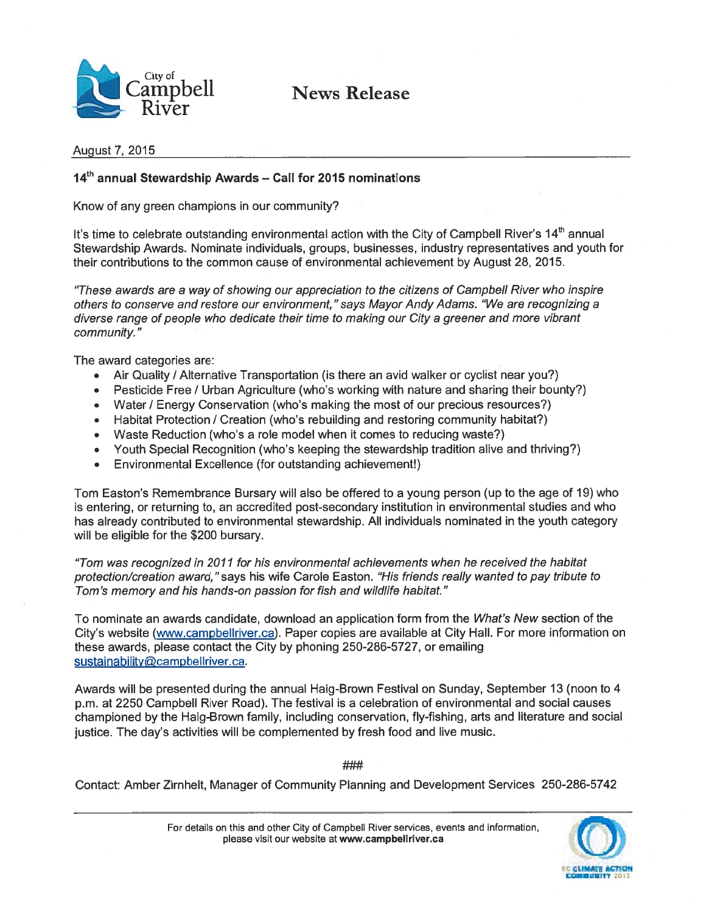

 $\mathop{\rm supp}\nolimits$ ell News Release

#### August 7, 2015

### 14<sup>th</sup> annual Stewardship Awards - Call for 2015 nominations

Know of any green champions in our community?

It's time to celebrate outstanding environmental action with the City of Campbell River's 14<sup>th</sup> annual Stewardship Awards. Nominate individuals, groups, businesses, industry representatives and youth for their contributions to the common cause of environmental achievement by August 28, 2015.

"These awards are <sup>a</sup> way of showing our appreciation to the citizens of Campbell River who inspire others to conserve and restore our environment," says Mayor Andy Adams. "We are recognizing <sup>a</sup> diverse range of people who dedicate their time to making our City <sup>a</sup> greener and more vibrant community."

The award categories are:

- Air Quality / Alternative Transportation (is there an avid walker or cyclist near you?)
- •Pesticide Free / Urban Agriculture (who's working with nature and sharing their bounty?)
- •Water / Energy Conservation (who's making the most of our precious resources?)
- •Habitat Protection / Creation (who's rebuilding and restoring community habitat?)
- •Waste Reduction (who's <sup>a</sup> role model when it comes to reducing waste?)
- •Youth Special Recognition (who's keeping the stewardship tradition alive and thriving?)
- •Environmental Excellence (for outstanding achievement!)

Tom Easton's Remembrance Bursary will also be offered to <sup>a</sup> young person (up to the age of 19) who is entering, or returning to, an accredited post-secondary institution in environmental studies and who has already contributed to environmental stewardship. All individuals nominated in the youth category will be eligible for the \$200 bursary.

"Tom was recognized in 2011 for his environmental achievements when he received the habitat protection/creation award," says his wife Carole Easton. "His friends really wanted to pay tribute to Tom's memory and his hands-on passion for fish and wildlife habitat."

To nominate an awards candidate, download an application form from the What's New section of the City's website (www.campbellriver.ca). Paper copies are available at City Hall. For more information on these awards, please contact the City by phoning 250-286-5727, or emailing sustainability@campbellriver.ca.

Awards will be presented during the annual Haig-Brown Festival on Sunday, September 13 (noon to 4 p.m. at 2250 Campbell River Road). The festival is <sup>a</sup> celebration of environmental and social causes championed by the Haig-Brown family, including conservation, fly-fishing, arts and literature and social justice. The day's activities will be complemented by fresh food and live music.

###

Contact: Amber Zirnhelt, Manager of Community Planning and Development Services 250-286-5742